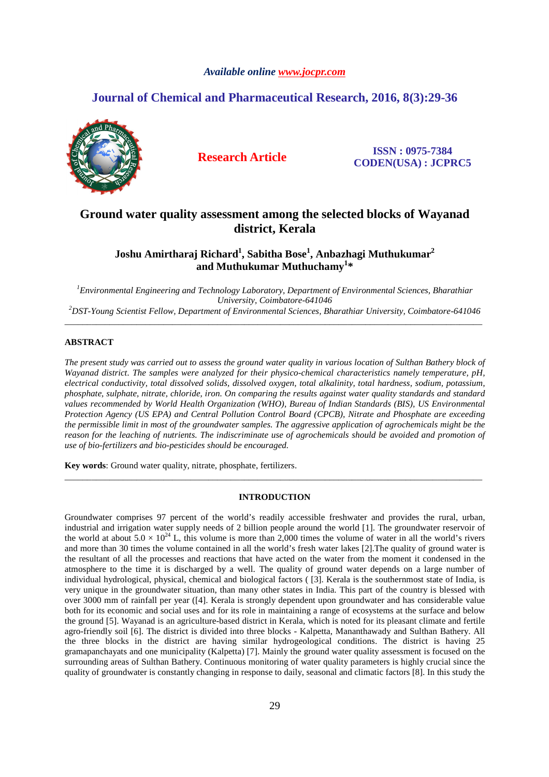# *Available online www.jocpr.com*

# **Journal of Chemical and Pharmaceutical Research, 2016, 8(3):29-36**



**Research Article ISSN : 0975-7384 CODEN(USA) : JCPRC5**

# **Ground water quality assessment among the selected blocks of Wayanad district, Kerala**

# **Joshu Amirtharaj Richard<sup>1</sup> , Sabitha Bose<sup>1</sup> , Anbazhagi Muthukumar<sup>2</sup> and Muthukumar Muthuchamy<sup>1</sup> \***

*<sup>1</sup>Environmental Engineering and Technology Laboratory, Department of Environmental Sciences, Bharathiar University, Coimbatore-641046 <sup>2</sup>DST-Young Scientist Fellow, Department of Environmental Sciences, Bharathiar University, Coimbatore-641046* 

\_\_\_\_\_\_\_\_\_\_\_\_\_\_\_\_\_\_\_\_\_\_\_\_\_\_\_\_\_\_\_\_\_\_\_\_\_\_\_\_\_\_\_\_\_\_\_\_\_\_\_\_\_\_\_\_\_\_\_\_\_\_\_\_\_\_\_\_\_\_\_\_\_\_\_\_\_\_\_\_\_\_\_\_\_\_\_\_\_\_\_\_\_

# **ABSTRACT**

*The present study was carried out to assess the ground water quality in various location of Sulthan Bathery block of Wayanad district. The samples were analyzed for their physico-chemical characteristics namely temperature, pH, electrical conductivity, total dissolved solids, dissolved oxygen, total alkalinity, total hardness, sodium, potassium, phosphate, sulphate, nitrate, chloride, iron. On comparing the results against water quality standards and standard values recommended by World Health Organization (WHO), Bureau of Indian Standards (BIS), US Environmental Protection Agency (US EPA) and Central Pollution Control Board (CPCB), Nitrate and Phosphate are exceeding the permissible limit in most of the groundwater samples. The aggressive application of agrochemicals might be the reason for the leaching of nutrients. The indiscriminate use of agrochemicals should be avoided and promotion of use of bio-fertilizers and bio-pesticides should be encouraged.* 

**Key words**: Ground water quality, nitrate, phosphate, fertilizers.

### **INTRODUCTION**

\_\_\_\_\_\_\_\_\_\_\_\_\_\_\_\_\_\_\_\_\_\_\_\_\_\_\_\_\_\_\_\_\_\_\_\_\_\_\_\_\_\_\_\_\_\_\_\_\_\_\_\_\_\_\_\_\_\_\_\_\_\_\_\_\_\_\_\_\_\_\_\_\_\_\_\_\_\_\_\_\_\_\_\_\_\_\_\_\_\_\_\_\_

Groundwater comprises 97 percent of the world's readily accessible freshwater and provides the rural, urban, industrial and irrigation water supply needs of 2 billion people around the world [1]. The groundwater reservoir of the world at about  $5.0 \times 10^{24}$  L, this volume is more than 2,000 times the volume of water in all the world's rivers and more than 30 times the volume contained in all the world's fresh water lakes [2].The quality of ground water is the resultant of all the processes and reactions that have acted on the water from the moment it condensed in the atmosphere to the time it is discharged by a well. The quality of ground water depends on a large number of individual hydrological, physical, chemical and biological factors ( [3]. Kerala is the southernmost state of India, is very unique in the groundwater situation, than many other states in India. This part of the country is blessed with over 3000 mm of rainfall per year ([4]. Kerala is strongly dependent upon groundwater and has considerable value both for its economic and social uses and for its role in maintaining a range of ecosystems at the surface and below the ground [5]. Wayanad is an agriculture-based district in Kerala, which is noted for its pleasant climate and fertile agro-friendly soil [6]. The district is divided into three blocks - Kalpetta, Mananthawady and Sulthan Bathery. All the three blocks in the district are having similar hydrogeological conditions. The district is having 25 gramapanchayats and one municipality (Kalpetta) [7]. Mainly the ground water quality assessment is focused on the surrounding areas of Sulthan Bathery. Continuous monitoring of water quality parameters is highly crucial since the quality of groundwater is constantly changing in response to daily, seasonal and climatic factors [8]. In this study the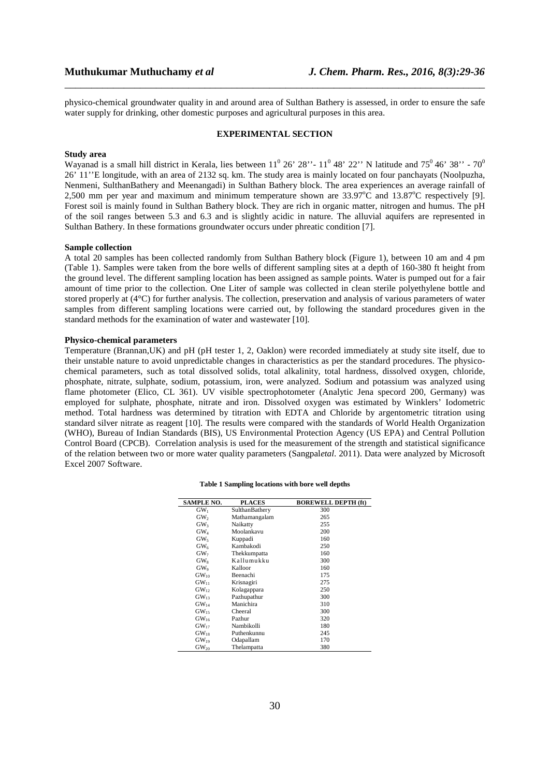physico-chemical groundwater quality in and around area of Sulthan Bathery is assessed, in order to ensure the safe water supply for drinking, other domestic purposes and agricultural purposes in this area.

\_\_\_\_\_\_\_\_\_\_\_\_\_\_\_\_\_\_\_\_\_\_\_\_\_\_\_\_\_\_\_\_\_\_\_\_\_\_\_\_\_\_\_\_\_\_\_\_\_\_\_\_\_\_\_\_\_\_\_\_\_\_\_\_\_\_\_\_\_\_\_\_\_\_\_\_\_\_

#### **EXPERIMENTAL SECTION**

#### **Study area**

Wayanad is a small hill district in Kerala, lies between  $11^0$  26' 28" -  $11^0$  48' 22" N latitude and 75<sup>0</sup> 46' 38" - 70<sup>0</sup> 26' 11''E longitude, with an area of 2132 sq. km. The study area is mainly located on four panchayats (Noolpuzha, Nenmeni, SulthanBathery and Meenangadi) in Sulthan Bathery block. The area experiences an average rainfall of 2,500 mm per year and maximum and minimum temperature shown are  $33.97^{\circ}$ C and  $13.87^{\circ}$ C respectively [9]. Forest soil is mainly found in Sulthan Bathery block. They are rich in organic matter, nitrogen and humus. The pH of the soil ranges between 5.3 and 6.3 and is slightly acidic in nature. The alluvial aquifers are represented in Sulthan Bathery. In these formations groundwater occurs under phreatic condition [7].

#### **Sample collection**

A total 20 samples has been collected randomly from Sulthan Bathery block (Figure 1), between 10 am and 4 pm (Table 1). Samples were taken from the bore wells of different sampling sites at a depth of 160-380 ft height from the ground level. The different sampling location has been assigned as sample points. Water is pumped out for a fair amount of time prior to the collection. One Liter of sample was collected in clean sterile polyethylene bottle and stored properly at (4°C) for further analysis. The collection, preservation and analysis of various parameters of water samples from different sampling locations were carried out, by following the standard procedures given in the standard methods for the examination of water and wastewater [10].

## **Physico-chemical parameters**

Temperature (Brannan,UK) and pH (pH tester 1, 2, Oaklon) were recorded immediately at study site itself, due to their unstable nature to avoid unpredictable changes in characteristics as per the standard procedures. The physicochemical parameters, such as total dissolved solids, total alkalinity, total hardness, dissolved oxygen, chloride, phosphate, nitrate, sulphate, sodium, potassium, iron, were analyzed. Sodium and potassium was analyzed using flame photometer (Elico, CL 361). UV visible spectrophotometer (Analytic Jena specord 200, Germany) was employed for sulphate, phosphate, nitrate and iron. Dissolved oxygen was estimated by Winklers' Iodometric method. Total hardness was determined by titration with EDTA and Chloride by argentometric titration using standard silver nitrate as reagent [10]. The results were compared with the standards of World Health Organization (WHO), Bureau of Indian Standards (BIS), US Environmental Protection Agency (US EPA) and Central Pollution Control Board (CPCB). Correlation analysis is used for the measurement of the strength and statistical significance of the relation between two or more water quality parameters (Sangpal*etal*. 2011). Data were analyzed by Microsoft Excel 2007 Software.

| <b>SAMPLE NO.</b> | <b>PLACES</b>   | <b>BOREWELL DEPTH (ft)</b> |
|-------------------|-----------------|----------------------------|
| GW <sub>1</sub>   | SulthanBathery  | 300                        |
| GW <sub>2</sub>   | Mathamangalam   | 265                        |
| GW <sub>3</sub>   | Naikatty        | 255                        |
| $GW_4$            | Moolankavu      | 200                        |
| GW <sub>5</sub>   | Kuppadi         | 160                        |
| GW <sub>6</sub>   | Kambakodi       | 250                        |
| GW <sub>7</sub>   | Thekkumpatta    | 160                        |
| GW <sub>s</sub>   | Kallumukku      | 300                        |
| GW <sub>9</sub>   | Kalloor         | 160                        |
| $GW_{10}$         | <b>Beenachi</b> | 175                        |
| $GW_{11}$         | Krisnagiri      | 275                        |
| GW <sub>12</sub>  | Kolagappara     | 250                        |
| $GW_{13}$         | Pazhupathur     | 300                        |
| $GW_{14}$         | Manichira       | 310                        |
| $GW_{15}$         | Cheeral         | 300                        |
| GW <sub>16</sub>  | Pazhur          | 320                        |
| $GW_{17}$         | Nambikolli      | 180                        |
| $GW_{18}$         | Puthenkunnu     | 245                        |
| $GW_{19}$         | Odapallam       | 170                        |
| $GW_{20}$         | Thelampatta     | 380                        |

#### **Table 1 Sampling locations with bore well depths**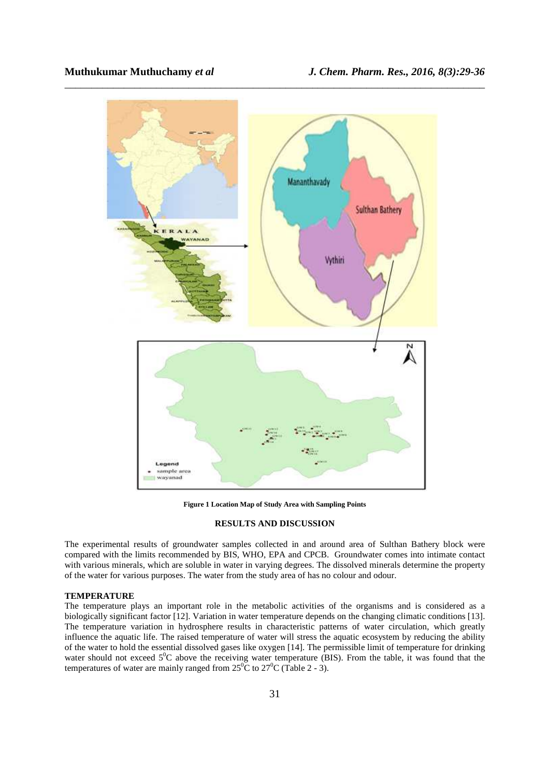

**Figure 1 Location Map of Study Area with Sampling Points**

## **RESULTS AND DISCUSSION**

The experimental results of groundwater samples collected in and around area of Sulthan Bathery block were compared with the limits recommended by BIS, WHO, EPA and CPCB. Groundwater comes into intimate contact with various minerals, which are soluble in water in varying degrees. The dissolved minerals determine the property of the water for various purposes. The water from the study area of has no colour and odour.

#### **TEMPERATURE**

The temperature plays an important role in the metabolic activities of the organisms and is considered as a biologically significant factor [12]. Variation in water temperature depends on the changing climatic conditions [13]. The temperature variation in hydrosphere results in characteristic patterns of water circulation, which greatly influence the aquatic life. The raised temperature of water will stress the aquatic ecosystem by reducing the ability of the water to hold the essential dissolved gases like oxygen [14]. The permissible limit of temperature for drinking water should not exceed  $5^0C$  above the receiving water temperature (BIS). From the table, it was found that the temperatures of water are mainly ranged from  $25\degree C$  to  $27\degree C$  (Table 2 - 3).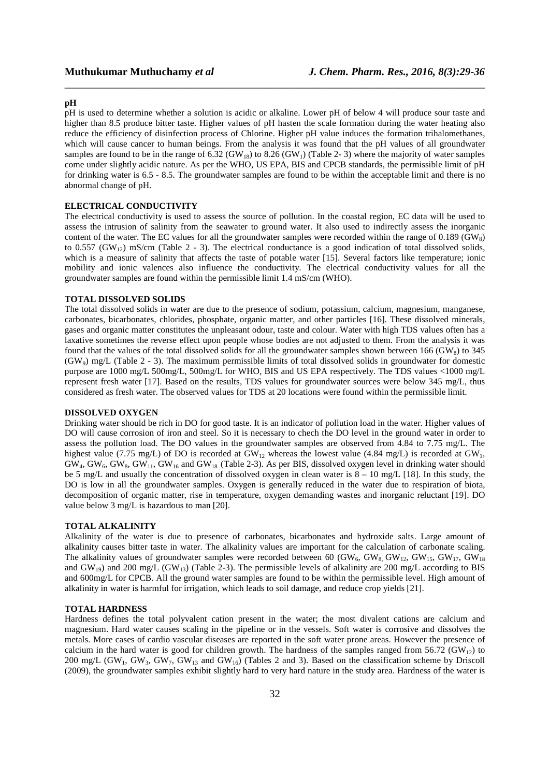### **pH**

pH is used to determine whether a solution is acidic or alkaline. Lower pH of below 4 will produce sour taste and higher than 8.5 produce bitter taste. Higher values of pH hasten the scale formation during the water heating also reduce the efficiency of disinfection process of Chlorine. Higher pH value induces the formation trihalomethanes, which will cause cancer to human beings. From the analysis it was found that the pH values of all groundwater samples are found to be in the range of  $6.32$  (GW<sub>18</sub>) to  $8.26$  (GW<sub>1</sub>) (Table 2-3) where the majority of water samples come under slightly acidic nature. As per the WHO, US EPA, BIS and CPCB standards, the permissible limit of pH for drinking water is 6.5 - 8.5. The groundwater samples are found to be within the acceptable limit and there is no abnormal change of pH.

\_\_\_\_\_\_\_\_\_\_\_\_\_\_\_\_\_\_\_\_\_\_\_\_\_\_\_\_\_\_\_\_\_\_\_\_\_\_\_\_\_\_\_\_\_\_\_\_\_\_\_\_\_\_\_\_\_\_\_\_\_\_\_\_\_\_\_\_\_\_\_\_\_\_\_\_\_\_

# **ELECTRICAL CONDUCTIVITY**

The electrical conductivity is used to assess the source of pollution. In the coastal region, EC data will be used to assess the intrusion of salinity from the seawater to ground water. It also used to indirectly assess the inorganic content of the water. The EC values for all the groundwater samples were recorded within the range of 0.189 (GW8) to 0.557 (GW<sub>12</sub>) mS/cm (Table 2 - 3). The electrical conductance is a good indication of total dissolved solids, which is a measure of salinity that affects the taste of potable water [15]. Several factors like temperature; ionic mobility and ionic valences also influence the conductivity. The electrical conductivity values for all the groundwater samples are found within the permissible limit 1.4 mS/cm (WHO).

## **TOTAL DISSOLVED SOLIDS**

The total dissolved solids in water are due to the presence of sodium, potassium, calcium, magnesium, manganese, carbonates, bicarbonates, chlorides, phosphate, organic matter, and other particles [16]. These dissolved minerals, gases and organic matter constitutes the unpleasant odour, taste and colour. Water with high TDS values often has a laxative sometimes the reverse effect upon people whose bodies are not adjusted to them. From the analysis it was found that the values of the total dissolved solids for all the groundwater samples shown between 166 (GW<sub>8</sub>) to 345 (GW9) mg/L (Table 2 - 3). The maximum permissible limits of total dissolved solids in groundwater for domestic purpose are 1000 mg/L 500mg/L, 500mg/L for WHO, BIS and US EPA respectively. The TDS values <1000 mg/L represent fresh water [17]. Based on the results, TDS values for groundwater sources were below 345 mg/L, thus considered as fresh water. The observed values for TDS at 20 locations were found within the permissible limit.

#### **DISSOLVED OXYGEN**

Drinking water should be rich in DO for good taste. It is an indicator of pollution load in the water. Higher values of DO will cause corrosion of iron and steel. So it is necessary to chech the DO level in the ground water in order to assess the pollution load. The DO values in the groundwater samples are observed from 4.84 to 7.75 mg/L. The highest value (7.75 mg/L) of DO is recorded at  $GW_{12}$  whereas the lowest value (4.84 mg/L) is recorded at  $GW_1$ ,  $GW_4, GW_6, GW_8, GW_{11}, GW_{16}$  and  $GW_{18}$  (Table 2-3). As per BIS, dissolved oxygen level in drinking water should be 5 mg/L and usually the concentration of dissolved oxygen in clean water is 8 – 10 mg/L [18]. In this study, the DO is low in all the groundwater samples. Oxygen is generally reduced in the water due to respiration of biota, decomposition of organic matter, rise in temperature, oxygen demanding wastes and inorganic reluctant [19]. DO value below 3 mg/L is hazardous to man [20].

#### **TOTAL ALKALINITY**

Alkalinity of the water is due to presence of carbonates, bicarbonates and hydroxide salts. Large amount of alkalinity causes bitter taste in water. The alkalinity values are important for the calculation of carbonate scaling. The alkalinity values of groundwater samples were recorded between 60 (GW<sub>6</sub>, GW<sub>6</sub>, GW<sub>12</sub>, GW<sub>15</sub>, GW<sub>15</sub>, GW<sub>18</sub> and GW<sub>19</sub>) and 200 mg/L (GW<sub>13</sub>) (Table 2-3). The permissible levels of alkalinity are 200 mg/L according to BIS and 600mg/L for CPCB. All the ground water samples are found to be within the permissible level. High amount of alkalinity in water is harmful for irrigation, which leads to soil damage, and reduce crop yields [21].

#### **TOTAL HARDNESS**

Hardness defines the total polyvalent cation present in the water; the most divalent cations are calcium and magnesium. Hard water causes scaling in the pipeline or in the vessels. Soft water is corrosive and dissolves the metals. More cases of cardio vascular diseases are reported in the soft water prone areas. However the presence of calcium in the hard water is good for children growth. The hardness of the samples ranged from 56.72 (GW<sub>12</sub>) to 200 mg/L (GW<sub>1</sub>, GW<sub>3</sub>, GW<sub>7</sub>, GW<sub>13</sub> and GW<sub>16</sub>) (Tables 2 and 3). Based on the classification scheme by Driscoll (2009), the groundwater samples exhibit slightly hard to very hard nature in the study area. Hardness of the water is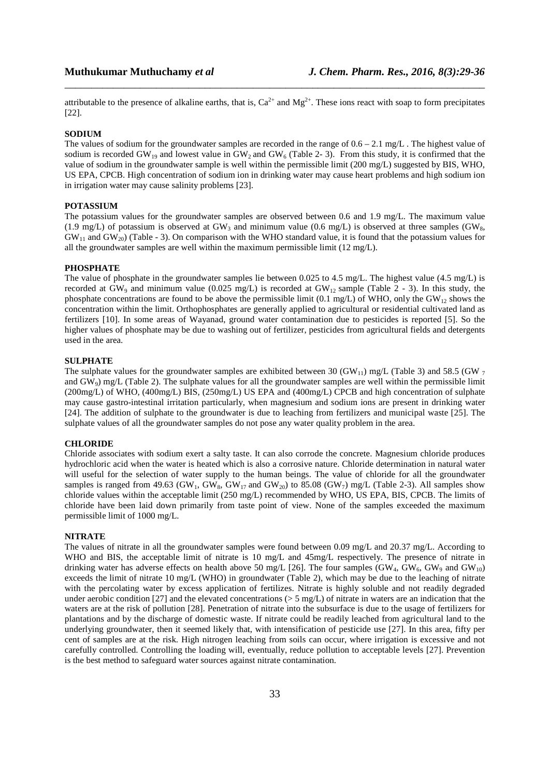attributable to the presence of alkaline earths, that is,  $Ca^{2+}$  and  $Mg^{2+}$ . These ions react with soap to form precipitates [22].

\_\_\_\_\_\_\_\_\_\_\_\_\_\_\_\_\_\_\_\_\_\_\_\_\_\_\_\_\_\_\_\_\_\_\_\_\_\_\_\_\_\_\_\_\_\_\_\_\_\_\_\_\_\_\_\_\_\_\_\_\_\_\_\_\_\_\_\_\_\_\_\_\_\_\_\_\_\_

#### **SODIUM**

The values of sodium for the groundwater samples are recorded in the range of  $0.6 - 2.1$  mg/L. The highest value of sodium is recorded GW<sub>19</sub> and lowest value in GW<sub>2</sub> and GW<sub>6</sub> (Table 2- 3). From this study, it is confirmed that the value of sodium in the groundwater sample is well within the permissible limit (200 mg/L) suggested by BIS, WHO, US EPA, CPCB. High concentration of sodium ion in drinking water may cause heart problems and high sodium ion in irrigation water may cause salinity problems [23].

### **POTASSIUM**

The potassium values for the groundwater samples are observed between 0.6 and 1.9 mg/L. The maximum value (1.9 mg/L) of potassium is observed at  $GW_3$  and minimum value (0.6 mg/L) is observed at three samples (GW<sub>8</sub>,  $GW_{11}$  and  $GW_{20}$ ) (Table - 3). On comparison with the WHO standard value, it is found that the potassium values for all the groundwater samples are well within the maximum permissible limit (12 mg/L).

#### **PHOSPHATE**

The value of phosphate in the groundwater samples lie between 0.025 to 4.5 mg/L. The highest value (4.5 mg/L) is recorded at  $GW_9$  and minimum value (0.025 mg/L) is recorded at  $GW_{12}$  sample (Table 2 - 3). In this study, the phosphate concentrations are found to be above the permissible limit (0.1 mg/L) of WHO, only the GW<sub>12</sub> shows the concentration within the limit. Orthophosphates are generally applied to agricultural or residential cultivated land as fertilizers [10]. In some areas of Wayanad, ground water contamination due to pesticides is reported [5]. So the higher values of phosphate may be due to washing out of fertilizer, pesticides from agricultural fields and detergents used in the area.

# **SULPHATE**

The sulphate values for the groundwater samples are exhibited between 30 (GW<sub>11</sub>) mg/L (Table 3) and 58.5 (GW  $_7$ and  $GW<sub>9</sub>$ ) mg/L (Table 2). The sulphate values for all the groundwater samples are well within the permissible limit (200mg/L) of WHO, (400mg/L) BIS, (250mg/L) US EPA and (400mg/L) CPCB and high concentration of sulphate may cause gastro-intestinal irritation particularly, when magnesium and sodium ions are present in drinking water [24]. The addition of sulphate to the groundwater is due to leaching from fertilizers and municipal waste [25]. The sulphate values of all the groundwater samples do not pose any water quality problem in the area.

# **CHLORIDE**

Chloride associates with sodium exert a salty taste. It can also corrode the concrete. Magnesium chloride produces hydrochloric acid when the water is heated which is also a corrosive nature. Chloride determination in natural water will useful for the selection of water supply to the human beings. The value of chloride for all the groundwater samples is ranged from 49.63 (GW<sub>1</sub>, GW<sub>8</sub>, GW<sub>17</sub> and GW<sub>20</sub>) to 85.08 (GW<sub>7</sub>) mg/L (Table 2-3). All samples show chloride values within the acceptable limit (250 mg/L) recommended by WHO, US EPA, BIS, CPCB. The limits of chloride have been laid down primarily from taste point of view. None of the samples exceeded the maximum permissible limit of 1000 mg/L.

#### **NITRATE**

The values of nitrate in all the groundwater samples were found between 0.09 mg/L and 20.37 mg/L. According to WHO and BIS, the acceptable limit of nitrate is 10 mg/L and 45mg/L respectively. The presence of nitrate in drinking water has adverse effects on health above 50 mg/L [26]. The four samples (GW<sub>4</sub>, GW<sub>6</sub>, GW<sub>9</sub> and GW<sub>10</sub>) exceeds the limit of nitrate 10 mg/L (WHO) in groundwater (Table 2), which may be due to the leaching of nitrate with the percolating water by excess application of fertilizes. Nitrate is highly soluble and not readily degraded under aerobic condition [27] and the elevated concentrations ( $> 5$  mg/L) of nitrate in waters are an indication that the waters are at the risk of pollution [28]. Penetration of nitrate into the subsurface is due to the usage of fertilizers for plantations and by the discharge of domestic waste. If nitrate could be readily leached from agricultural land to the underlying groundwater, then it seemed likely that, with intensification of pesticide use [27]. In this area, fifty per cent of samples are at the risk. High nitrogen leaching from soils can occur, where irrigation is excessive and not carefully controlled. Controlling the loading will, eventually, reduce pollution to acceptable levels [27]. Prevention is the best method to safeguard water sources against nitrate contamination.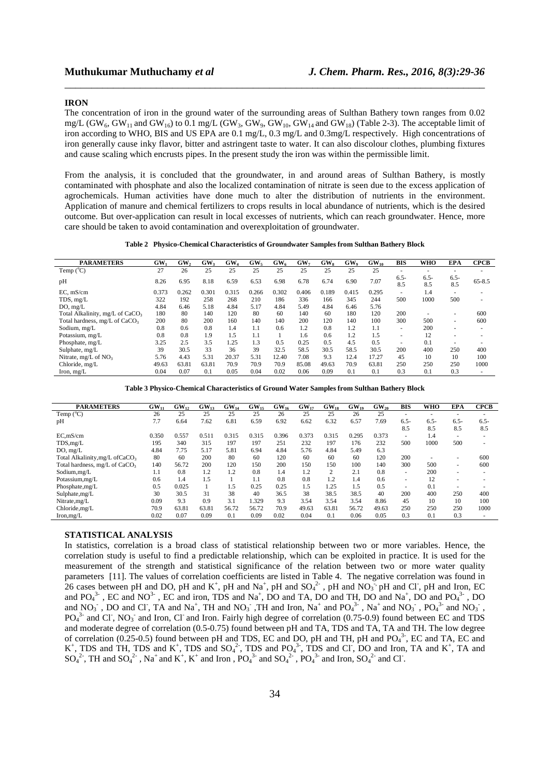#### **IRON**

The concentration of iron in the ground water of the surrounding areas of Sulthan Bathery town ranges from 0.02 mg/L (GW<sub>6</sub>, GW<sub>11</sub> and GW<sub>16</sub>) to 0.1 mg/L (GW<sub>3</sub>, GW<sub>9</sub>, GW<sub>10</sub>, GW<sub>14</sub> and GW<sub>18</sub>) (Table 2-3). The acceptable limit of iron according to WHO, BIS and US EPA are 0.1 mg/L, 0.3 mg/L and 0.3mg/L respectively. High concentrations of iron generally cause inky flavor, bitter and astringent taste to water. It can also discolour clothes, plumbing fixtures and cause scaling which encrusts pipes. In the present study the iron was within the permissible limit.

\_\_\_\_\_\_\_\_\_\_\_\_\_\_\_\_\_\_\_\_\_\_\_\_\_\_\_\_\_\_\_\_\_\_\_\_\_\_\_\_\_\_\_\_\_\_\_\_\_\_\_\_\_\_\_\_\_\_\_\_\_\_\_\_\_\_\_\_\_\_\_\_\_\_\_\_\_\_

From the analysis, it is concluded that the groundwater, in and around areas of Sulthan Bathery, is mostly contaminated with phosphate and also the localized contamination of nitrate is seen due to the excess application of agrochemicals. Human activities have done much to alter the distribution of nutrients in the environment. Application of manure and chemical fertilizers to crops results in local abundance of nutrients, which is the desired outcome. But over-application can result in local excesses of nutrients, which can reach groundwater. Hence, more care should be taken to avoid contamination and overexploitation of groundwater.

**Table 2 Physico-Chemical Characteristics of Groundwater Samples from Sulthan Bathery Block** 

| <b>PARAMETERS</b>                           | GW <sub>1</sub> | GW,   | GW <sub>3</sub> | GW <sub>4</sub> | GW <sub>s</sub> | GW <sub>6</sub> | GW <sub>7</sub> | GW <sub>s</sub> | GW <sub>o</sub> | $GW_{10}$ | <b>BIS</b>               | WHO            | <b>EPA</b>     | <b>CPCB</b>              |
|---------------------------------------------|-----------------|-------|-----------------|-----------------|-----------------|-----------------|-----------------|-----------------|-----------------|-----------|--------------------------|----------------|----------------|--------------------------|
| Temp $(^{\circ}C)$                          | 27              | 26    | 25              | 25              | 25              | 25              | 25              | 25              | 25              | 25        | $\overline{\phantom{a}}$ | ۰              |                | ۰                        |
| pH                                          | 8.26            | 6.95  | 8.18            | 6.59            | 6.53            | 6.98            | 6.78            | 6.74            | 6.90            | 7.07      | $6.5 -$<br>8.5           | $6.5 -$<br>8.5 | $6.5 -$<br>8.5 | $65 - 8.5$               |
| EC. mS/cm                                   | 0.373           | 0.262 | 0.301           | 0.315           | 0.266           | 0.302           | 0.406           | 0.189           | 0.415           | 0.295     | $\overline{\phantom{a}}$ | 1.4            | $\sim$         | $\overline{\phantom{a}}$ |
| TDS, mg/L                                   | 322             | 192   | 258             | 268             | 210             | 186             | 336             | 166             | 345             | 244       | 500                      | 1000           | 500            | ۰                        |
| DO, mg/L                                    | 4.84            | 6.46  | 5.18            | 4.84            | 5.17            | 4.84            | 5.49            | 4.84            | 6.46            | 5.76      |                          |                |                |                          |
| Total Alkalinity, mg/L of CaCO <sub>3</sub> | 180             | 80    | 140             | 120             | 80              | 60              | 140             | 60              | 180             | 120       | 200                      |                | -              | 600                      |
| Total hardness, mg/L of CaCO <sub>3</sub>   | 200             | 80    | 200             | 160             | 140             | 140             | 200             | 120             | 140             | 100       | 300                      | 500            | $\sim$         | 600                      |
| Sodium, mg/L                                | 0.8             | 0.6   | 0.8             | 1.4             | 1.1             | 0.6             | 1.2             | 0.8             | 1.2             | 1.1       | $\overline{\phantom{a}}$ | 200            | $\sim$         | ۰                        |
| Potassium, mg/L                             | 0.8             | 0.8   | 1.9             | 1.5             | 1.1             |                 | 1.6             | 0.6             | 1.2             | 1.5       | -                        | 12             |                |                          |
| Phosphate, mg/L                             | 3.25            | 2.5   | 3.5             | 1.25            | 1.3             | 0.5             | 0.25            | 0.5             | 4.5             | 0.5       | $\overline{\phantom{a}}$ | 0.1            |                | $\overline{\phantom{a}}$ |
| Sulphate, mg/L                              | 39              | 30.5  | 33              | 36              | 39              | 32.5            | 58.5            | 30.5            | 58.5            | 30.5      | 200                      | 400            | 250            | 400                      |
| Nitrate, $mg/L$ of $NO3$                    | 5.76            | 4.43  | 5.31            | 20.37           | 5.31            | 12.40           | 7.08            | 9.3             | 12.4            | 17.27     | 45                       | 10             | 10             | 100                      |
| Chloride, mg/L                              | 49.63           | 63.81 | 63.81           | 70.9            | 70.9            | 70.9            | 85.08           | 49.63           | 70.9            | 63.81     | 250                      | 250            | 250            | 1000                     |
| Iron, $mg/L$                                | 0.04            | 0.07  | 0.1             | 0.05            | 0.04            | 0.02            | 0.06            | 0.09            | 0.1             | 0.1       | 0.3                      | 0.1            | 0.3            | ۰                        |

**Table 3 Physico-Chemical Characteristics of Ground Water Samples from Sulthan Bathery Block** 

| <b>PARAMETERS</b>                           | $GW_{11}$ | GW <sub>12</sub> | $GW_{13}$ | $GW_{14}$ | $GW_{15}$ | $GW_{16}$ | $GW_{17}$ | $GW_{18}$ | $GW_{19}$ | $GW_{20}$ | BIS                      | WHO     | <b>EPA</b>               | <b>CPCB</b>              |
|---------------------------------------------|-----------|------------------|-----------|-----------|-----------|-----------|-----------|-----------|-----------|-----------|--------------------------|---------|--------------------------|--------------------------|
| Temp $(^{\circ}C)$                          | 26        | 25               | 25        | 25        | 25        | 26        | 25        | 25        | 26        | 25        | $\sim$                   |         | $\overline{\phantom{a}}$ |                          |
| pH                                          | 7.7       | 6.64             | 7.62      | 6.81      | 6.59      | 6.92      | 6.62      | 6.32      | 6.57      | 7.69      | $6.5-$                   | $6.5 -$ | $6.5 -$                  | $6.5-$                   |
|                                             |           |                  |           |           |           |           |           |           |           |           | 8.5                      | 8.5     | 8.5                      | 8.5                      |
| EC, mS/cm                                   | 0.350     | 0.557            | 0.511     | 0.315     | 0.315     | 0.396     | 0.373     | 0.315     | 0.295     | 0.373     | $\sim$                   | 1.4     | $\overline{\phantom{a}}$ |                          |
| TDS,mg/L                                    | 195       | 340              | 315       | 197       | 197       | 251       | 232       | 197       | 176       | 232       | 500                      | 1000    | 500                      | $\overline{\phantom{a}}$ |
| DO, mg/L                                    | 4.84      | 7.75             | 5.17      | 5.81      | 6.94      | 4.84      | 5.76      | 4.84      | 5.49      | 6.3       |                          |         |                          |                          |
| Total Alkalinity, mg/L of CaCO <sub>3</sub> | 80        | 60               | 200       | 80        | 60        | 120       | 60        | 60        | 60        | 120       | 200                      |         | $\overline{\phantom{a}}$ | 600                      |
| Total hardness, mg/L of CaCO <sub>3</sub>   | 140       | 56.72            | 200       | 120       | 150       | 200       | 150       | 150       | 100       | 140       | 300                      | 500     | $\overline{\phantom{a}}$ | 600                      |
| Sodium, mg/L                                | 1.1       | 0.8              | 1.2       | 1.2       | 0.8       | 1.4       | 1.2       | 2         | 2.1       | 0.8       | $\overline{\phantom{a}}$ | 200     | $\overline{\phantom{a}}$ |                          |
| Potassium,mg/L                              | 0.6       | 1.4              | 1.5       |           | 1.1       | 0.8       | 0.8       | 1.2       | 1.4       | 0.6       | $\sim$                   | 12      | ۰                        |                          |
| Phosphate, mg/L                             | 0.5       | 0.025            |           | 1.5       | 0.25      | 0.25      | 1.5       | 1.25      | 1.5       | 0.5       | $\overline{\phantom{a}}$ | 0.1     |                          |                          |
| Sulphate, mg/L                              | 30        | 30.5             | 31        | 38        | 40        | 36.5      | 38        | 38.5      | 38.5      | 40        | 200                      | 400     | 250                      | 400                      |
| Nitrate, mg/L                               | 0.09      | 9.3              | 0.9       | 3.1       | .329      | 9.3       | 3.54      | 3.54      | 3.54      | 8.86      | 45                       | 10      | 10                       | 100                      |
| Chloride, mg/L                              | 70.9      | 63.81            | 63.81     | 56.72     | 56.72     | 70.9      | 49.63     | 63.81     | 56.72     | 49.63     | 250                      | 250     | 250                      | 1000                     |
| Iron, mg/L                                  | 0.02      | 0.07             | 0.09      | 0.1       | 0.09      | 0.02      | 0.04      | 0.1       | 0.06      | 0.05      | 0.3                      | 0.1     | 0.3                      | $\overline{\phantom{a}}$ |

### **STATISTICAL ANALYSIS**

In statistics, correlation is a broad class of statistical relationship between two or more variables. Hence, the correlation study is useful to find a predictable relationship, which can be exploited in practice. It is used for the measurement of the strength and statistical significance of the relation between two or more water quality parameters [11]. The values of correlation coefficients are listed in Table 4. The negative correlation was found in 26 cases between pH and DO, pH and  $K^+$ , pH and  $Na^+$ , pH and  $SO_4^2$ , pH and NO<sub>3</sub><sup>-</sup>, pH and Cl<sup>-</sup>, pH and Iron, EC and  $PO_4^{3}$ , EC and NO<sup>3</sup>, EC and iron, TDS and Na<sup>+</sup>, DO and TA, DO and TH, DO and Na<sup>+</sup>, DO and PO<sub>4</sub><sup>3-</sup>, DO and NO<sub>3</sub>, DO and Cl, TA and Na<sup>+</sup>, TH and NO<sub>3</sub>, TH and Iron, Na<sup>+</sup> and PO<sub>4</sub><sup>3</sup>, Na<sup>+</sup> and NO<sub>3</sub>, PO<sub>4</sub><sup>3</sup> and NO<sub>3</sub>,  $PO_4^{3}$  and Cl<sup>-</sup>, NO<sub>3</sub><sup>-</sup> and Iron, Cl<sup>-</sup> and Iron. Fairly high degree of correlation (0.75-0.9) found between EC and TDS and moderate degree of correlation (0.5-0.75) found between pH and TA, TDS and TA, TA and TH. The low degree of correlation (0.25-0.5) found between pH and TDS, EC and DO, pH and TH, pH and  $PO<sub>4</sub><sup>3</sup>$ , EC and TA, EC and K<sup>+</sup>, TDS and TH, TDS and K<sup>+</sup>, TDS and SO<sub>4</sub><sup>2</sup>, TDS and PO<sub>4</sub><sup>3</sup>, TDS and Cl, DO and Iron, TA and K<sup>+</sup>, TA and  $SO_4^2$ <sup>2</sup>, TH and  $SO_4^2$ <sup>2</sup>, Na<sup>+</sup> and K<sup>+</sup>, K<sup>+</sup> and Iron, PO<sub>4</sub><sup>3</sup> and SO<sub>4</sub><sup>2</sup>, PO<sub>4</sub><sup>3</sup> and Iron, SO<sub>4</sub><sup>2</sup> and Cl<sup>-</sup>.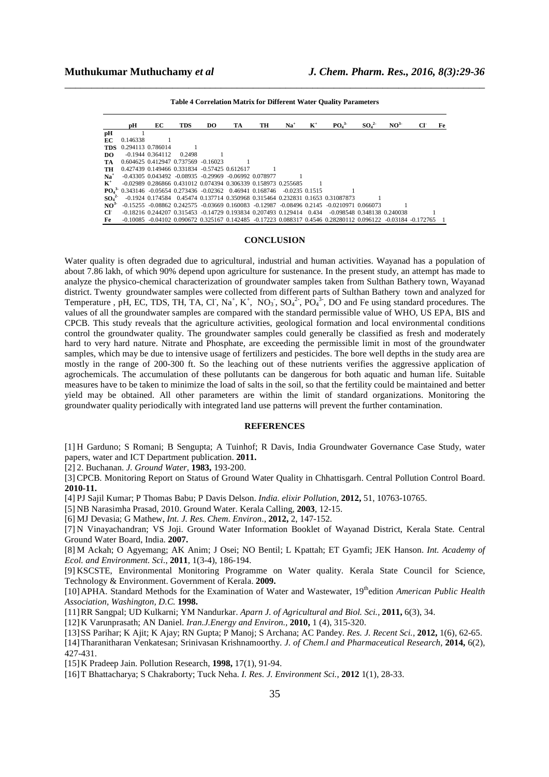|                              | pН                                                            | EC                   | <b>TDS</b>                          | DO. | TA                                                                | TH | $Na+$                                                                                | $\mathbf{K}^+$ | PO <sub>4</sub> <sup>3</sup>                                                                                 | SO <sub>4</sub> <sup>2</sup> | NO <sup>3</sup> | Fe |
|------------------------------|---------------------------------------------------------------|----------------------|-------------------------------------|-----|-------------------------------------------------------------------|----|--------------------------------------------------------------------------------------|----------------|--------------------------------------------------------------------------------------------------------------|------------------------------|-----------------|----|
| pН                           |                                                               |                      |                                     |     |                                                                   |    |                                                                                      |                |                                                                                                              |                              |                 |    |
| EС                           | 0.146338                                                      |                      |                                     |     |                                                                   |    |                                                                                      |                |                                                                                                              |                              |                 |    |
| TDS                          | 0.294113 0.786014                                             |                      |                                     |     |                                                                   |    |                                                                                      |                |                                                                                                              |                              |                 |    |
| DO.                          |                                                               | $-0.1944$ $0.364112$ | 0.2498                              |     |                                                                   |    |                                                                                      |                |                                                                                                              |                              |                 |    |
| TA                           |                                                               |                      | 0.604625 0.412947 0.737569 -0.16023 |     |                                                                   |    |                                                                                      |                |                                                                                                              |                              |                 |    |
| TH                           | 0.427439 0.149466 0.331834 -0.57425 0.612617                  |                      |                                     |     |                                                                   |    |                                                                                      |                |                                                                                                              |                              |                 |    |
| $Na+$                        |                                                               |                      |                                     |     | $-0.43305$ $0.043492$ $-0.08935$ $-0.29969$ $-0.06992$ $0.078977$ |    |                                                                                      |                |                                                                                                              |                              |                 |    |
| $\mathbf{K}^+$               |                                                               |                      |                                     |     | -0.02989 0.286866 0.431012 0.074394 0.306339 0.158973 0.255685    |    |                                                                                      |                |                                                                                                              |                              |                 |    |
|                              | $PQ_4^3$ 0.343146 -0.05654 0.273436 -0.02362 0.46941 0.168746 |                      |                                     |     |                                                                   |    | $-0.0235$ 0.1515                                                                     |                |                                                                                                              |                              |                 |    |
| SO <sub>4</sub> <sup>2</sup> |                                                               |                      |                                     |     |                                                                   |    |                                                                                      |                | -0.1924 0.174584 0.45474 0.137714 0.350968 0.315464 0.232831 0.1653 0.31087873                               |                              |                 |    |
| NO <sup>3</sup>              |                                                               |                      |                                     |     |                                                                   |    |                                                                                      |                | -0.15255 -0.08862 0.242575 -0.03669 0.160083 -0.12987 -0.08496 0.2145 -0.0210971 0.066073                    |                              |                 |    |
| $\mathbf{C}$                 |                                                               |                      |                                     |     |                                                                   |    | $-0.18216$ $0.244207$ $0.315453$ $-0.14729$ $0.193834$ $0.207493$ $0.129414$ $0.434$ |                | -0.098548 0.348138 0.240038                                                                                  |                              |                 |    |
| Fe                           |                                                               |                      |                                     |     |                                                                   |    |                                                                                      |                | -0.10085 -0.04102 0.090672 0.325167 0.142485 -0.17223 0.088317 0.4546 0.28280112 0.096122 -0.03184 -0.172765 |                              |                 |    |

\_\_\_\_\_\_\_\_\_\_\_\_\_\_\_\_\_\_\_\_\_\_\_\_\_\_\_\_\_\_\_\_\_\_\_\_\_\_\_\_\_\_\_\_\_\_\_\_\_\_\_\_\_\_\_\_\_\_\_\_\_\_\_\_\_\_\_\_\_\_\_\_\_\_\_\_\_\_ **Table 4 Correlation Matrix for Different Water Quality Parameters** 

#### **CONCLUSION**

Water quality is often degraded due to agricultural, industrial and human activities. Wayanad has a population of about 7.86 lakh, of which 90% depend upon agriculture for sustenance. In the present study, an attempt has made to analyze the physico-chemical characterization of groundwater samples taken from Sulthan Bathery town, Wayanad district. Twenty groundwater samples were collected from different parts of Sulthan Bathery town and analyzed for Temperature, pH, EC, TDS, TH, TA, Cl, Na<sup>+</sup>, K<sup>+</sup>, NO<sub>3</sub>, SO<sub>4</sub><sup>2</sup>, PO<sub>4</sub><sup>3</sup>, DO and Fe using standard procedures. The values of all the groundwater samples are compared with the standard permissible value of WHO, US EPA, BIS and CPCB. This study reveals that the agriculture activities, geological formation and local environmental conditions control the groundwater quality. The groundwater samples could generally be classified as fresh and moderately hard to very hard nature. Nitrate and Phosphate, are exceeding the permissible limit in most of the groundwater samples, which may be due to intensive usage of fertilizers and pesticides. The bore well depths in the study area are mostly in the range of 200-300 ft. So the leaching out of these nutrients verifies the aggressive application of agrochemicals. The accumulation of these pollutants can be dangerous for both aquatic and human life. Suitable measures have to be taken to minimize the load of salts in the soil, so that the fertility could be maintained and better yield may be obtained. All other parameters are within the limit of standard organizations. Monitoring the groundwater quality periodically with integrated land use patterns will prevent the further contamination.

#### **REFERENCES**

[1] H Garduno; S Romani; B Sengupta; A Tuinhof; R Davis, India Groundwater Governance Case Study, water papers, water and ICT Department publication. **2011.** 

[2] 2. Buchanan. *J. Ground Water,* **1983,** 193-200.

[3] CPCB. Monitoring Report on Status of Ground Water Quality in Chhattisgarh. Central Pollution Control Board. **2010-11.**

[4] PJ Sajil Kumar; P Thomas Babu; P Davis Delson. *India. elixir Pollution*, **2012,** 51, 10763-10765.

[5] NB Narasimha Prasad, 2010. Ground Water. Kerala Calling, **2003**, 12-15.

[6] MJ Devasia; G Mathew, *Int. J. Res. Chem. Environ*., **2012,** 2, 147-152.

[7] N Vinayachandran; VS Joji. Ground Water Information Booklet of Wayanad District, Kerala State. Central Ground Water Board, India. **2007.**

[8] M Ackah; O Agyemang; AK Anim; J Osei; NO Bentil; L Kpattah; ET Gyamfi; JEK Hanson. *Int. Academy of Ecol. and Environment. Sci.*, **2011**, 1(3-4), 186-194.

[9] KSCSTE, Environmental Monitoring Programme on Water quality. Kerala State Council for Science, Technology & Environment. Government of Kerala. **2009.**

[10]APHA. Standard Methods for the Examination of Water and Wastewater, 19<sup>th</sup>edition *American Public Health Association, Washington, D.C.* **1998.**

[11]RR Sangpal; UD Kulkarni; YM Nandurkar. *Aparn J. of Agricultural and Biol. Sci.,* **2011,** 6(3), 34.

[12]K Varunprasath; AN Daniel. *Iran.J.Energy and Environ.,* **2010,** 1 (4), 315-320.

[13]SS Parihar; K Ajit; K Ajay; RN Gupta; P Manoj; S Archana; AC Pandey. *Res. J. Recent Sci.,* **2012,** 1(6), 62-65.

[14]Tharanitharan Venkatesan; Srinivasan Krishnamoorthy. *J. of Chem.l and Pharmaceutical Research,* **2014,** 6(2),

427-431.

[15]K Pradeep Jain. Pollution Research, **1998,** 17(1), 91-94.

[16]T Bhattacharya; S Chakraborty; Tuck Neha. *I. Res. J. Environment Sci.*, **2012** 1(1), 28-33.